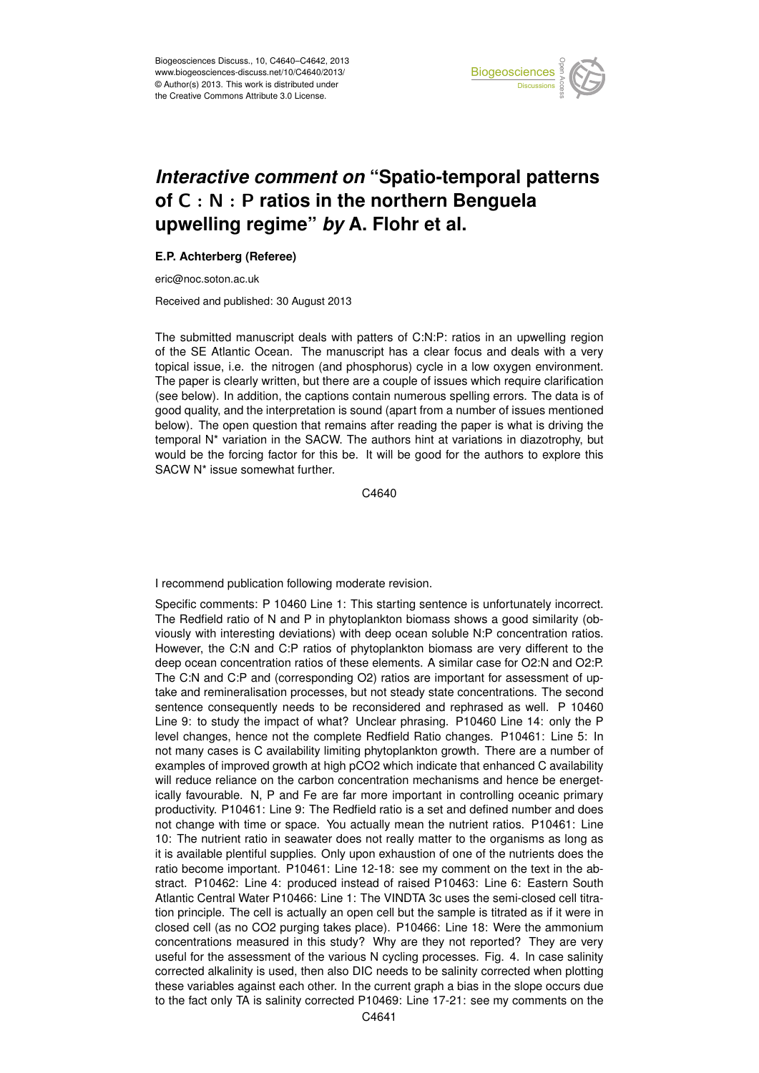

## Earth System of C  $:$  N  $:$  P ratios in the northern Benguela  $\vdots$  $\overline{\phantom{a}}$ *Interactive comment on* "Spatio-temporal patterns **upwelling regime"** *by* **A. Flohr et al.**

## **E.P. Achterberg (Referee)**

eric@noc.soton.ac.uk

Received and published: 30 August 2013

nuscript deals with patters of C:N:P: ratios in an unwelli a<br>a .<br>وا The submitted manuscript deals with patters of C:N:P: ratios in an upwelling region topical issue, i.e. the nitrogen (and phosphorus) cycle in a low oxygen environment. The paper is clearly written, but there are a couple of issues which require clarification (see below). In addition, the captions contain numerous spelling errors. The data is of າ<br>ອ<br>ທ rc<br><sub>ur</sub><br>da good quality, and the interpretation is sound (apart from a number of issues mentioned temporal N\* variation in the SACW. The authors hint at variations in diazotrophy, but o<br>P<br>| יי<br>וכ<br>וכ would be the forcing factor for this be. It will be good for the authors to explore this of the SE Atlantic Ocean. The manuscript has a clear focus and deals with a very below). The open question that remains after reading the paper is what is driving the SACW N\* issue somewhat further.

> C<br>C C4640

or.<br>P I recommend publication following moderate revision.

Specific comments: P 10460 Line 1: This starting sentence is unfortunately incorrect. The Redfield ratio of N and P in phytoplankton biomass shows a good similarity (obviously with interesting deviations) with deep ocean soluble N:P concentration ratios. However, the C:N and C:P ratios of phytoplankton biomass are very different to the deep ocean concentration ratios of these elements. A similar case for O2:N and O2:P. The C:N and C:P and (corresponding O2) ratios are important for assessment of uptake and remineralisation processes, but not steady state concentrations. The second sentence consequently needs to be reconsidered and rephrased as well. P 10460 Line 9: to study the impact of what? Unclear phrasing. P10460 Line 14: only the P level changes, hence not the complete Redfield Ratio changes. P10461: Line 5: In not many cases is C availability limiting phytoplankton growth. There are a number of examples of improved growth at high pCO2 which indicate that enhanced C availability will reduce reliance on the carbon concentration mechanisms and hence be energetically favourable. N, P and Fe are far more important in controlling oceanic primary productivity. P10461: Line 9: The Redfield ratio is a set and defined number and does not change with time or space. You actually mean the nutrient ratios. P10461: Line 10: The nutrient ratio in seawater does not really matter to the organisms as long as it is available plentiful supplies. Only upon exhaustion of one of the nutrients does the ratio become important. P10461: Line 12-18: see my comment on the text in the abstract. P10462: Line 4: produced instead of raised P10463: Line 6: Eastern South Atlantic Central Water P10466: Line 1: The VINDTA 3c uses the semi-closed cell titration principle. The cell is actually an open cell but the sample is titrated as if it were in closed cell (as no CO2 purging takes place). P10466: Line 18: Were the ammonium concentrations measured in this study? Why are they not reported? They are very useful for the assessment of the various N cycling processes. Fig. 4. In case salinity corrected alkalinity is used, then also DIC needs to be salinity corrected when plotting these variables against each other. In the current graph a bias in the slope occurs due to the fact only TA is salinity corrected P10469: Line 17-21: see my comments on the